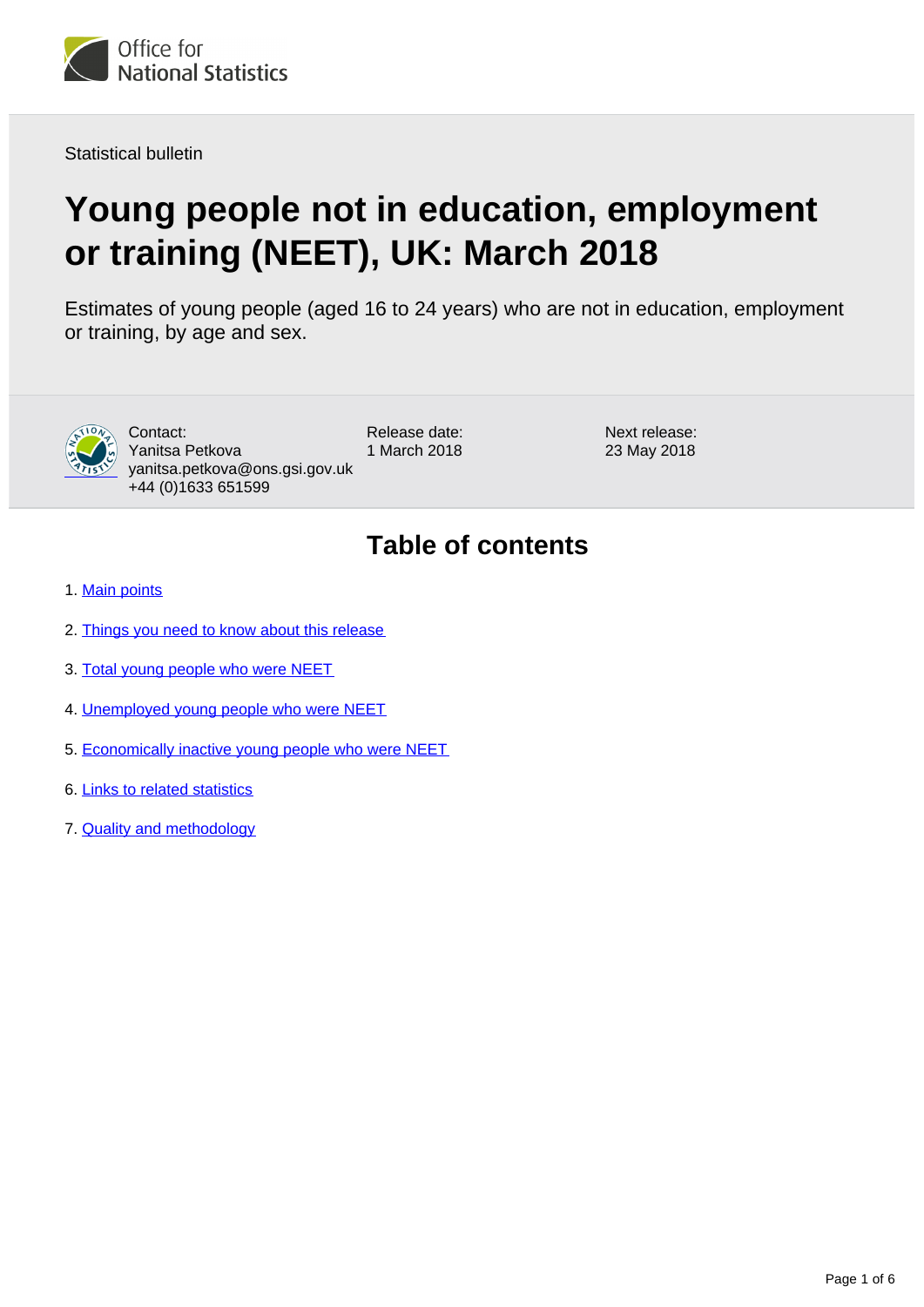

Statistical bulletin

# **Young people not in education, employment or training (NEET), UK: March 2018**

Estimates of young people (aged 16 to 24 years) who are not in education, employment or training, by age and sex.



Contact: Yanitsa Petkova yanitsa.petkova@ons.gsi.gov.uk +44 (0)1633 651599

Release date: 1 March 2018 Next release: 23 May 2018

## **Table of contents**

- 1. [Main points](#page-1-0)
- 2. [Things you need to know about this release](#page-1-1)
- 3. [Total young people who were NEET](#page-2-0)
- 4. [Unemployed young people who were NEET](#page-3-0)
- 5. [Economically inactive young people who were NEET](#page-4-0)
- 6. [Links to related statistics](#page-4-1)
- 7. [Quality and methodology](#page-4-2)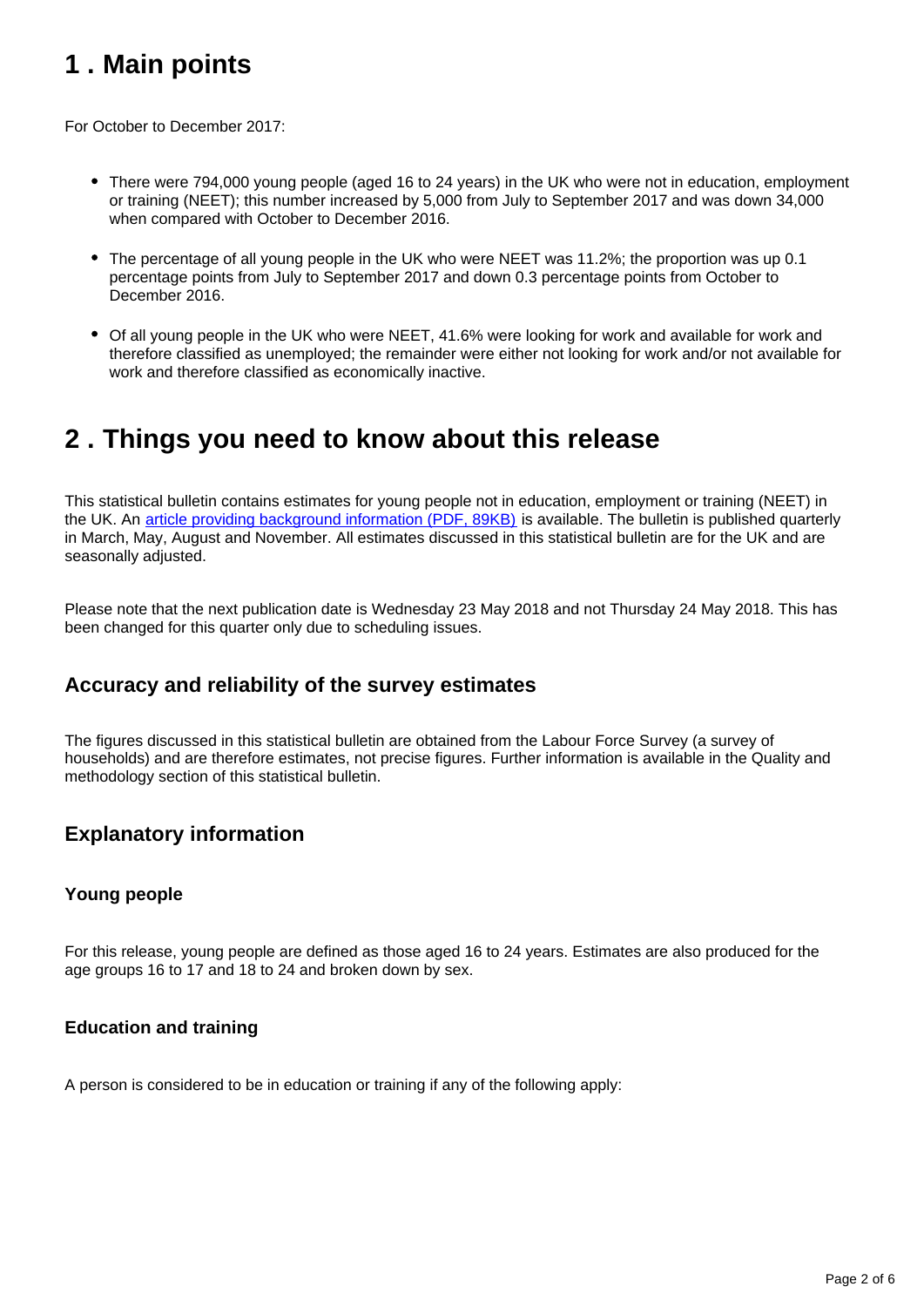## <span id="page-1-0"></span>**1 . Main points**

For October to December 2017:

- There were 794,000 young people (aged 16 to 24 years) in the UK who were not in education, employment or training (NEET); this number increased by 5,000 from July to September 2017 and was down 34,000 when compared with October to December 2016.
- The percentage of all young people in the UK who were NEET was 11.2%; the proportion was up 0.1 percentage points from July to September 2017 and down 0.3 percentage points from October to December 2016.
- Of all young people in the UK who were NEET, 41.6% were looking for work and available for work and therefore classified as unemployed; the remainder were either not looking for work and/or not available for work and therefore classified as economically inactive.

### <span id="page-1-1"></span>**2 . Things you need to know about this release**

This statistical bulletin contains estimates for young people not in education, employment or training (NEET) in the UK. An [article providing background information \(PDF, 89KB\)](http://webarchive.nationalarchives.gov.uk/20160204094749/http:/ons.gov.uk/ons/guide-method/method-quality/specific/labour-market/articles-and-reports/young-people-who-are-neet.pdf) is available. The bulletin is published quarterly in March, May, August and November. All estimates discussed in this statistical bulletin are for the UK and are seasonally adjusted.

Please note that the next publication date is Wednesday 23 May 2018 and not Thursday 24 May 2018. This has been changed for this quarter only due to scheduling issues.

### **Accuracy and reliability of the survey estimates**

The figures discussed in this statistical bulletin are obtained from the Labour Force Survey (a survey of households) and are therefore estimates, not precise figures. Further information is available in the Quality and methodology section of this statistical bulletin.

### **Explanatory information**

#### **Young people**

For this release, young people are defined as those aged 16 to 24 years. Estimates are also produced for the age groups 16 to 17 and 18 to 24 and broken down by sex.

#### **Education and training**

A person is considered to be in education or training if any of the following apply: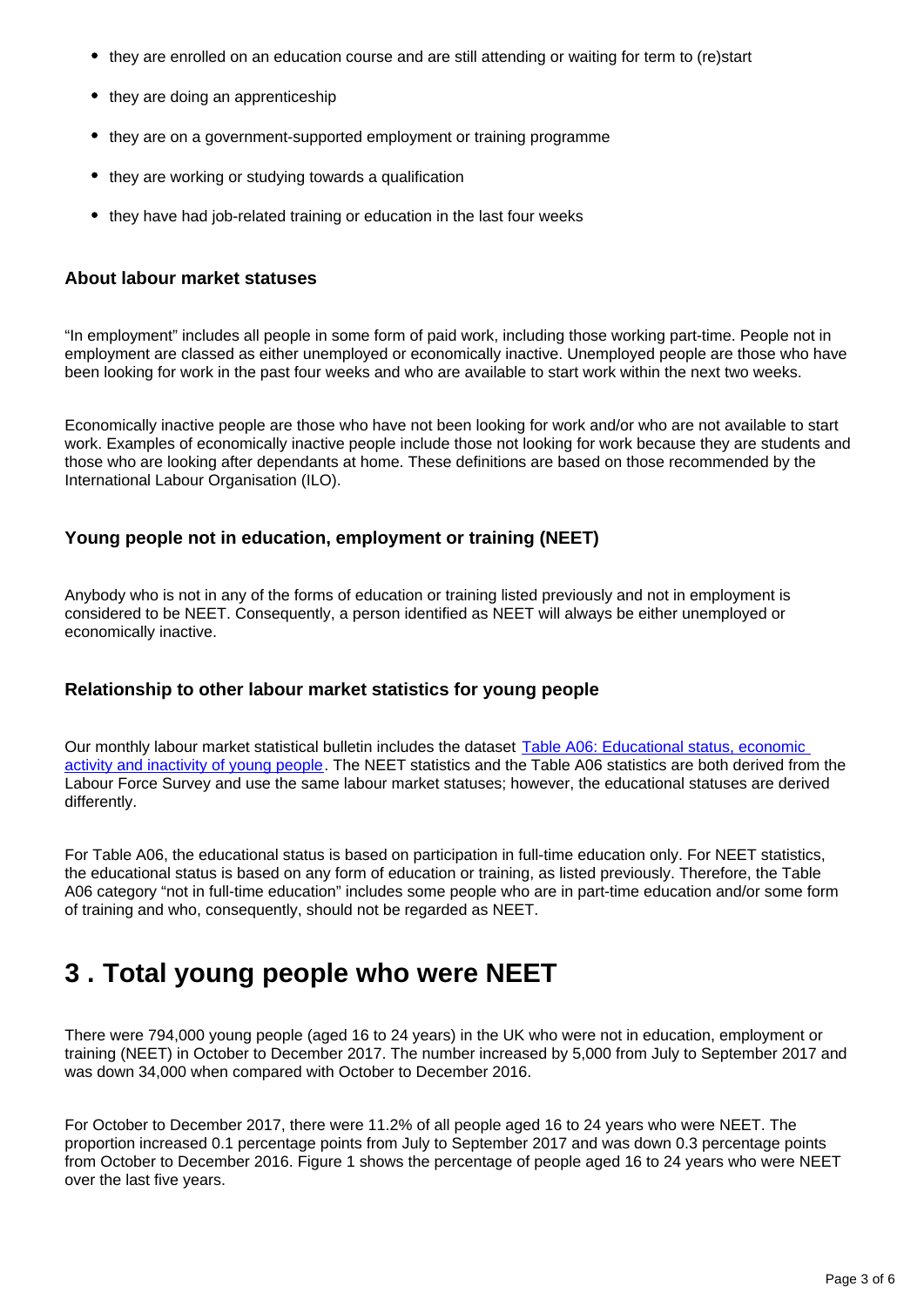- they are enrolled on an education course and are still attending or waiting for term to (re)start
- they are doing an apprenticeship
- they are on a government-supported employment or training programme
- they are working or studying towards a qualification
- they have had job-related training or education in the last four weeks

#### **About labour market statuses**

"In employment" includes all people in some form of paid work, including those working part-time. People not in employment are classed as either unemployed or economically inactive. Unemployed people are those who have been looking for work in the past four weeks and who are available to start work within the next two weeks.

Economically inactive people are those who have not been looking for work and/or who are not available to start work. Examples of economically inactive people include those not looking for work because they are students and those who are looking after dependants at home. These definitions are based on those recommended by the International Labour Organisation (ILO).

#### **Young people not in education, employment or training (NEET)**

Anybody who is not in any of the forms of education or training listed previously and not in employment is considered to be NEET. Consequently, a person identified as NEET will always be either unemployed or economically inactive.

#### **Relationship to other labour market statistics for young people**

Our monthly labour market statistical bulletin includes the dataset Table A06: Educational status, economic [activity and inactivity of young people](http://www.ons.gov.uk/employmentandlabourmarket/peopleinwork/employmentandemployeetypes/datasets/educationalstatusandlabourmarketstatusforpeopleagedfrom16to24seasonallyadjusteda06sa). The NEET statistics and the Table A06 statistics are both derived from the Labour Force Survey and use the same labour market statuses; however, the educational statuses are derived differently.

For Table A06, the educational status is based on participation in full-time education only. For NEET statistics, the educational status is based on any form of education or training, as listed previously. Therefore, the Table A06 category "not in full-time education" includes some people who are in part-time education and/or some form of training and who, consequently, should not be regarded as NEET.

### <span id="page-2-0"></span>**3 . Total young people who were NEET**

There were 794,000 young people (aged 16 to 24 years) in the UK who were not in education, employment or training (NEET) in October to December 2017. The number increased by 5,000 from July to September 2017 and was down 34,000 when compared with October to December 2016.

For October to December 2017, there were 11.2% of all people aged 16 to 24 years who were NEET. The proportion increased 0.1 percentage points from July to September 2017 and was down 0.3 percentage points from October to December 2016. Figure 1 shows the percentage of people aged 16 to 24 years who were NEET over the last five years.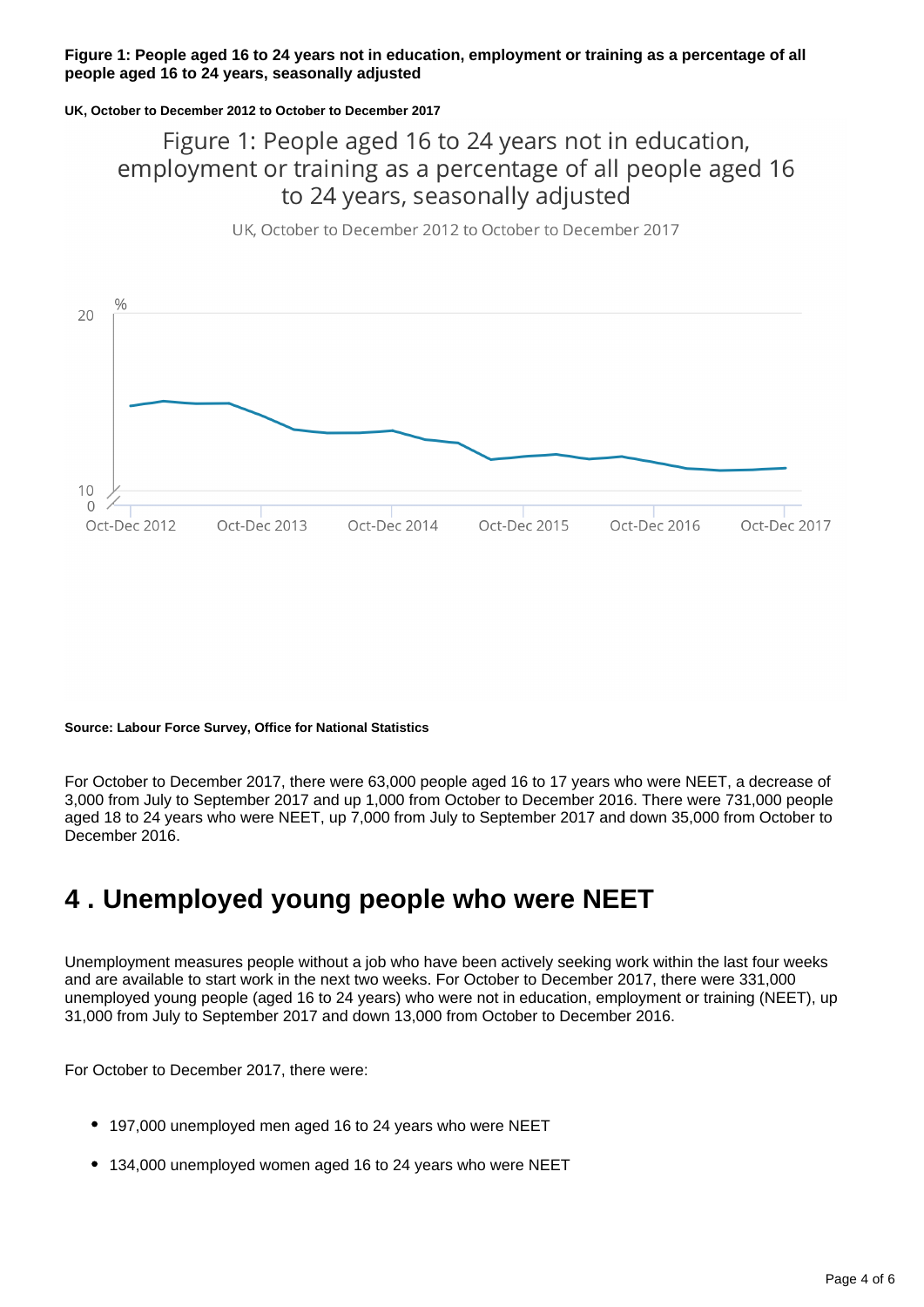#### **Figure 1: People aged 16 to 24 years not in education, employment or training as a percentage of all people aged 16 to 24 years, seasonally adjusted**

#### **UK, October to December 2012 to October to December 2017**

### Figure 1: People aged 16 to 24 years not in education, employment or training as a percentage of all people aged 16 to 24 years, seasonally adjusted

UK, October to December 2012 to October to December 2017



#### **Source: Labour Force Survey, Office for National Statistics**

For October to December 2017, there were 63,000 people aged 16 to 17 years who were NEET, a decrease of 3,000 from July to September 2017 and up 1,000 from October to December 2016. There were 731,000 people aged 18 to 24 years who were NEET, up 7,000 from July to September 2017 and down 35,000 from October to December 2016.

## <span id="page-3-0"></span>**4 . Unemployed young people who were NEET**

Unemployment measures people without a job who have been actively seeking work within the last four weeks and are available to start work in the next two weeks. For October to December 2017, there were 331,000 unemployed young people (aged 16 to 24 years) who were not in education, employment or training (NEET), up 31,000 from July to September 2017 and down 13,000 from October to December 2016.

For October to December 2017, there were:

- 197,000 unemployed men aged 16 to 24 years who were NEET
- 134,000 unemployed women aged 16 to 24 years who were NEET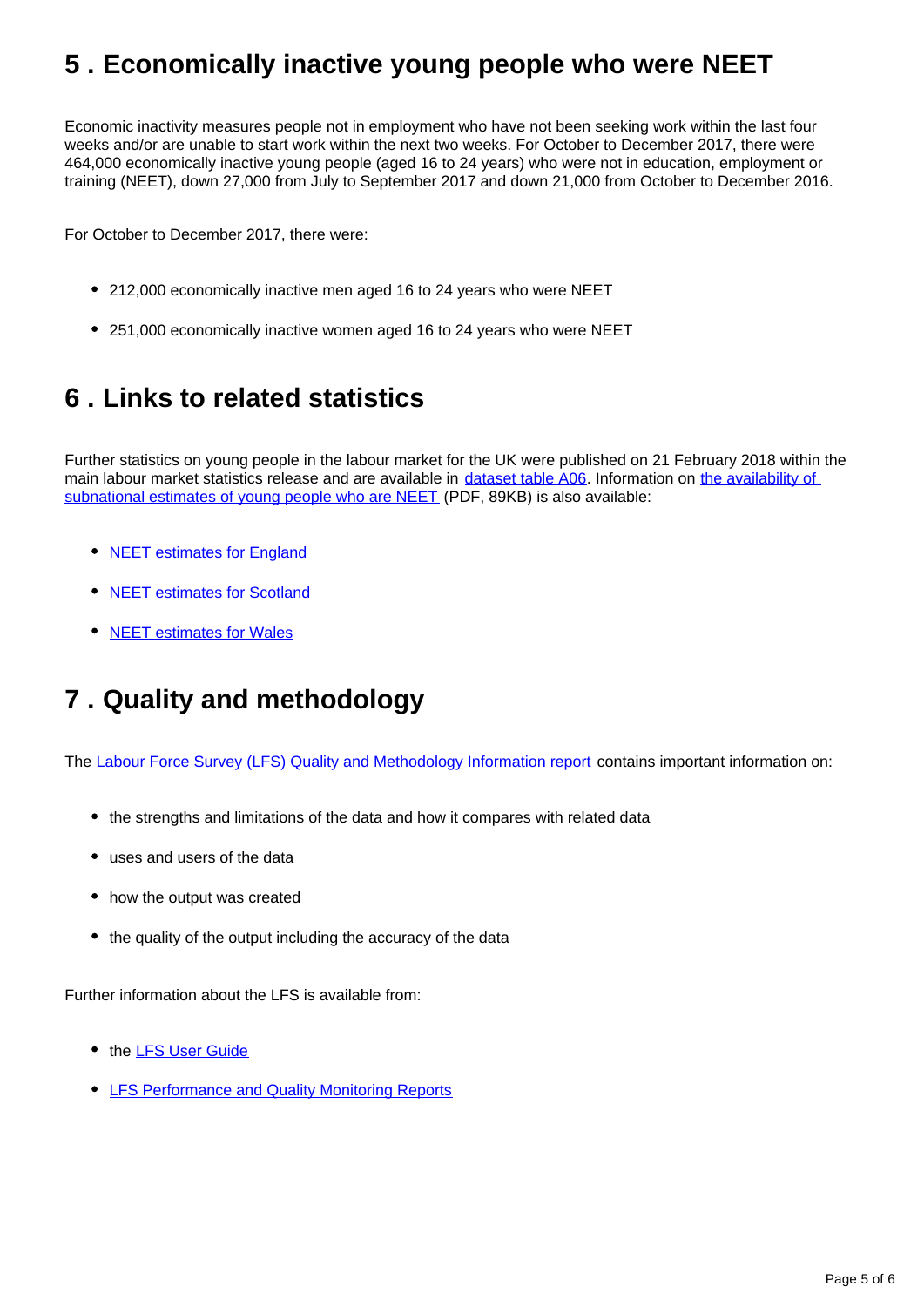## <span id="page-4-0"></span>**5 . Economically inactive young people who were NEET**

Economic inactivity measures people not in employment who have not been seeking work within the last four weeks and/or are unable to start work within the next two weeks. For October to December 2017, there were 464,000 economically inactive young people (aged 16 to 24 years) who were not in education, employment or training (NEET), down 27,000 from July to September 2017 and down 21,000 from October to December 2016.

For October to December 2017, there were:

- 212,000 economically inactive men aged 16 to 24 years who were NEET
- 251,000 economically inactive women aged 16 to 24 years who were NEET

## <span id="page-4-1"></span>**6 . Links to related statistics**

Further statistics on young people in the labour market for the UK were published on 21 February 2018 within the main labour market statistics release and are available in [dataset table A06](https://www.ons.gov.uk/employmentandlabourmarket/peopleinwork/employmentandemployeetypes/datasets/educationalstatusandlabourmarketstatusforpeopleagedfrom16to24seasonallyadjusteda06sa). Information on the availability of [subnational estimates of young people who are NEET](http://webarchive.nationalarchives.gov.uk/20160204094749/http:/ons.gov.uk/ons/guide-method/method-quality/specific/labour-market/articles-and-reports/young-people-who-are-neet.pdf) (PDF, 89KB) is also available:

- [NEET estimates for England](https://www.gov.uk/government/collections/statistics-neet)
- [NEET estimates for Scotland](http://www.gov.scot/Topics/Statistics/Browse/Labour-Market/LANEET)
- [NEET estimates for Wales](http://gov.wales/statistics-and-research/young-people-not-education-employment-training/?lang=en)

## <span id="page-4-2"></span>**7 . Quality and methodology**

The [Labour Force Survey \(LFS\) Quality and Methodology Information report](http://www.ons.gov.uk/employmentandlabourmarket/peopleinwork/employmentandemployeetypes/qmis/labourforcesurveylfsqmi) contains important information on:

- the strengths and limitations of the data and how it compares with related data
- uses and users of the data
- how the output was created
- the quality of the output including the accuracy of the data

Further information about the LFS is available from:

- the **[LFS User Guide](https://www.ons.gov.uk/employmentandlabourmarket/peopleinwork/employmentandemployeetypes/methodologies/labourforcesurveyuserguidance)**
- **[LFS Performance and Quality Monitoring Reports](https://www.ons.gov.uk/employmentandlabourmarket/peopleinwork/employmentandemployeetypes/methodologies/labourforcesurveyperformanceandqualitymonitoringreports)**